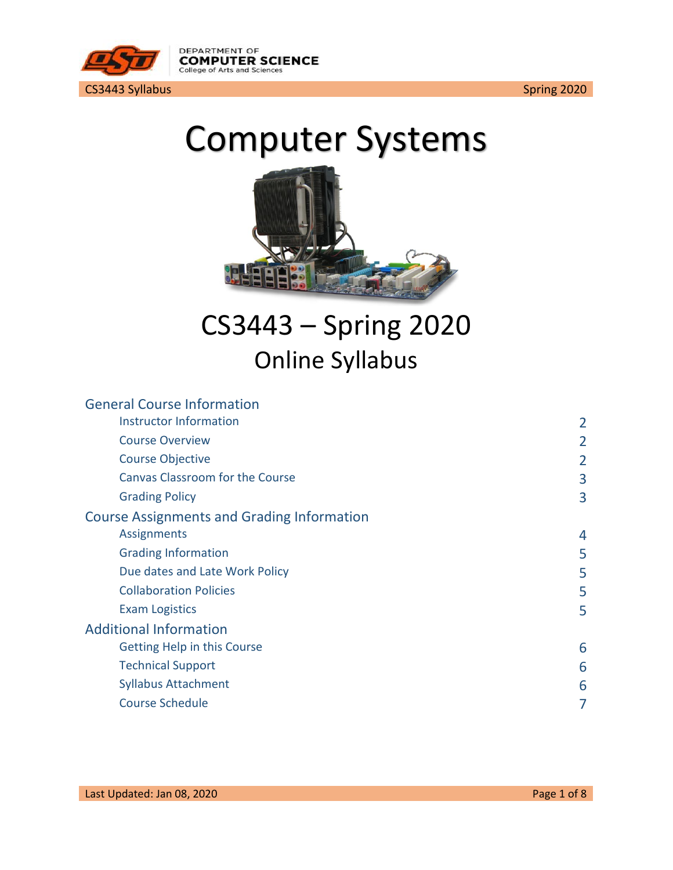

# Computer Systems



## CS3443 – Spring 2020 Online Syllabus

| 2 |
|---|
| 2 |
| 2 |
| 3 |
| 3 |
|   |
| 4 |
| 5 |
| 5 |
| 5 |
| 5 |
|   |
| 6 |
| 6 |
| 6 |
|   |
|   |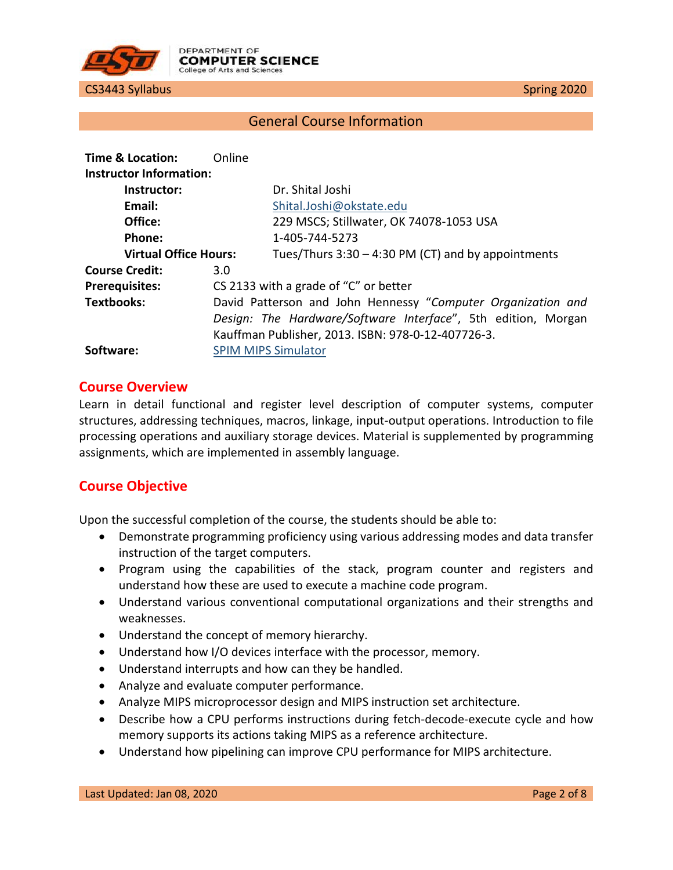

#### General Course Information

<span id="page-1-1"></span><span id="page-1-0"></span>

| Time & Location:             | Online                     |                                                               |
|------------------------------|----------------------------|---------------------------------------------------------------|
| Instructor Information:      |                            |                                                               |
| Instructor:                  |                            | Dr. Shital Joshi                                              |
| Email:                       |                            | Shital.Joshi@okstate.edu                                      |
| Office:                      |                            | 229 MSCS; Stillwater, OK 74078-1053 USA                       |
| Phone:                       |                            | 1-405-744-5273                                                |
| <b>Virtual Office Hours:</b> |                            | Tues/Thurs $3:30 - 4:30$ PM (CT) and by appointments          |
| <b>Course Credit:</b>        | 3.0                        |                                                               |
| <b>Prerequisites:</b>        |                            | CS 2133 with a grade of "C" or better                         |
| <b>Textbooks:</b>            |                            | David Patterson and John Hennessy "Computer Organization and  |
|                              |                            | Design: The Hardware/Software Interface", 5th edition, Morgan |
|                              |                            | Kauffman Publisher, 2013. ISBN: 978-0-12-407726-3.            |
| Software:                    | <b>SPIM MIPS Simulator</b> |                                                               |

#### <span id="page-1-2"></span>**Course Overview**

Learn in detail functional and register level description of computer systems, computer structures, addressing techniques, macros, linkage, input-output operations. Introduction to file processing operations and auxiliary storage devices. Material is supplemented by programming assignments, which are implemented in assembly language.

#### <span id="page-1-3"></span>**Course Objective**

Upon the successful completion of the course, the students should be able to:

- Demonstrate programming proficiency using various addressing modes and data transfer instruction of the target computers.
- Program using the capabilities of the stack, program counter and registers and understand how these are used to execute a machine code program.
- Understand various conventional computational organizations and their strengths and weaknesses.
- Understand the concept of memory hierarchy.
- Understand how I/O devices interface with the processor, memory.
- Understand interrupts and how can they be handled.
- Analyze and evaluate computer performance.
- Analyze MIPS microprocessor design and MIPS instruction set architecture.
- Describe how a CPU performs instructions during fetch-decode-execute cycle and how memory supports its actions taking MIPS as a reference architecture.
- Understand how pipelining can improve CPU performance for MIPS architecture.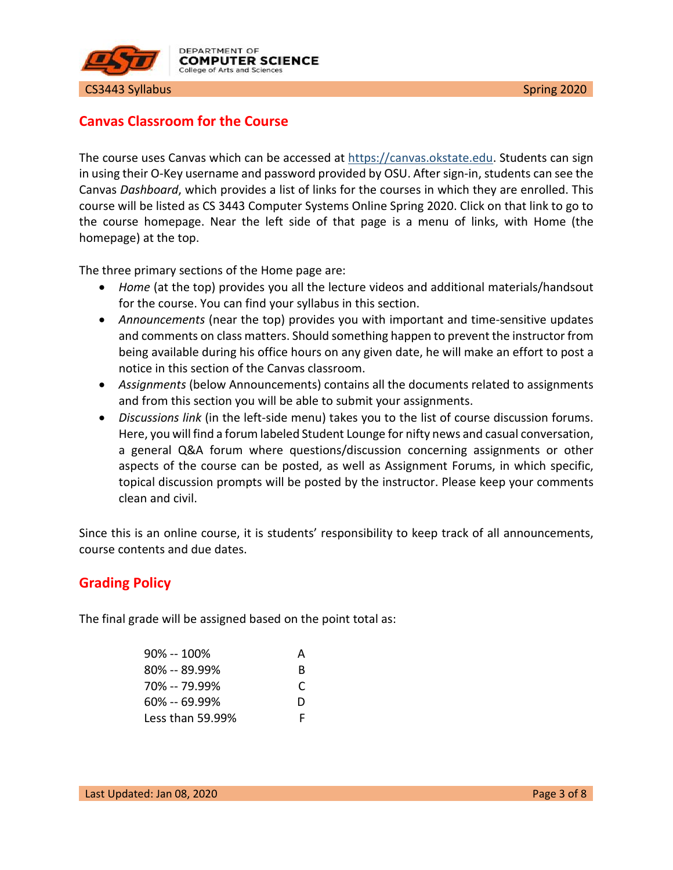

### <span id="page-2-0"></span>**Canvas Classroom for the Course**

The course uses Canvas which can be accessed at [https://canvas.okstate.edu.](https://canvas.okstate.edu/) Students can sign in using their O-Key username and password provided by OSU. After sign-in, students can see the Canvas *Dashboard*, which provides a list of links for the courses in which they are enrolled. This course will be listed as CS 3443 Computer Systems Online Spring 2020. Click on that link to go to the course homepage. Near the left side of that page is a menu of links, with Home (the homepage) at the top.

The three primary sections of the Home page are:

- *Home* (at the top) provides you all the lecture videos and additional materials/handsout for the course. You can find your syllabus in this section.
- *Announcements* (near the top) provides you with important and time-sensitive updates and comments on class matters. Should something happen to prevent the instructor from being available during his office hours on any given date, he will make an effort to post a notice in this section of the Canvas classroom.
- *Assignments* (below Announcements) contains all the documents related to assignments and from this section you will be able to submit your assignments.
- *Discussions link* (in the left-side menu) takes you to the list of course discussion forums. Here, you will find a forum labeled Student Lounge for nifty news and casual conversation, a general Q&A forum where questions/discussion concerning assignments or other aspects of the course can be posted, as well as Assignment Forums, in which specific, topical discussion prompts will be posted by the instructor. Please keep your comments clean and civil.

Since this is an online course, it is students' responsibility to keep track of all announcements, course contents and due dates.

#### <span id="page-2-1"></span>**Grading Policy**

The final grade will be assigned based on the point total as:

| $90\% - 100\%$   | А |
|------------------|---|
| $80\% - 89.99\%$ | R |
| 70% -- 79.99%    | C |
| $60\% - 69.99\%$ | D |
| Less than 59.99% | F |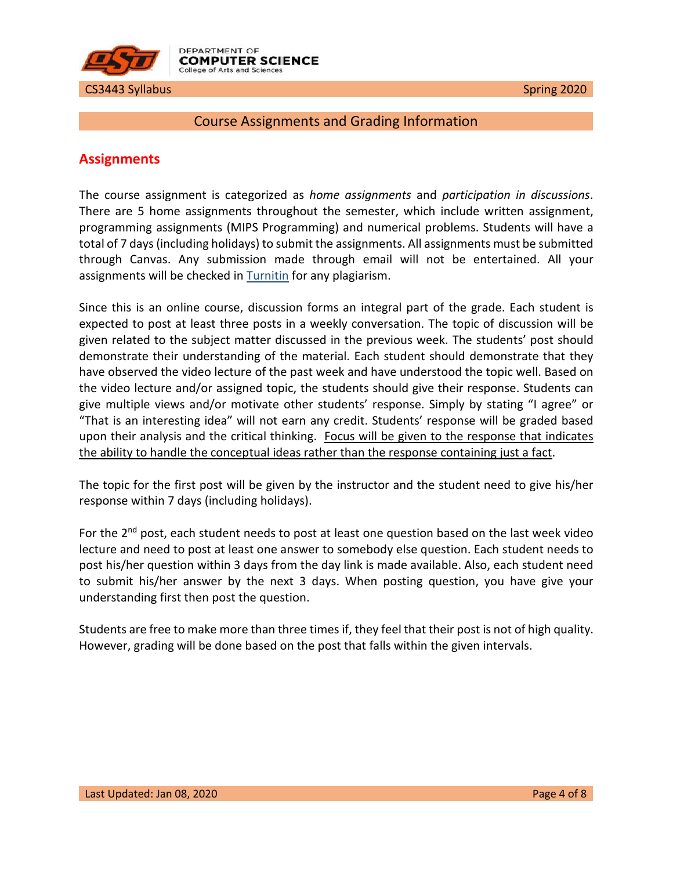

#### <span id="page-3-0"></span>Course Assignments and Grading Information

#### <span id="page-3-1"></span>**Assignments**

The course assignment is categorized as *home assignments* and *participation in discussions*. There are 5 home assignments throughout the semester, which include written assignment, programming assignments (MIPS Programming) and numerical problems. Students will have a total of 7 days (including holidays) to submit the assignments. All assignments must be submitted through Canvas. Any submission made through email will not be entertained. All your assignments will be checked in **Turnitin** for any plagiarism.

Since this is an online course, discussion forms an integral part of the grade. Each student is expected to post at least three posts in a weekly conversation. The topic of discussion will be given related to the subject matter discussed in the previous week. The students' post should demonstrate their understanding of the material. Each student should demonstrate that they have observed the video lecture of the past week and have understood the topic well. Based on the video lecture and/or assigned topic, the students should give their response. Students can give multiple views and/or motivate other students' response. Simply by stating "I agree" or "That is an interesting idea" will not earn any credit. Students' response will be graded based upon their analysis and the critical thinking. Focus will be given to the response that indicates the ability to handle the conceptual ideas rather than the response containing just a fact.

The topic for the first post will be given by the instructor and the student need to give his/her response within 7 days (including holidays).

For the  $2^{nd}$  post, each student needs to post at least one question based on the last week video lecture and need to post at least one answer to somebody else question. Each student needs to post his/her question within 3 days from the day link is made available. Also, each student need to submit his/her answer by the next 3 days. When posting question, you have give your understanding first then post the question.

Students are free to make more than three times if, they feel that their post is not of high quality. However, grading will be done based on the post that falls within the given intervals.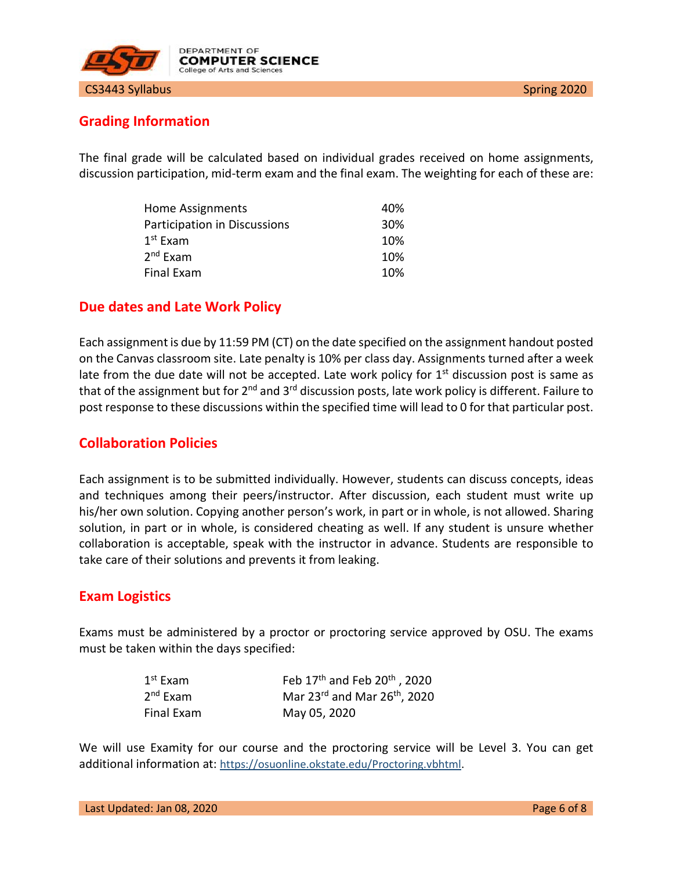



### <span id="page-4-0"></span>**Grading Information**

The final grade will be calculated based on individual grades received on home assignments, discussion participation, mid-term exam and the final exam. The weighting for each of these are:

| Home Assignments             | 40% |
|------------------------------|-----|
| Participation in Discussions | 30% |
| $1^{\text{st}}$ Exam         | 10% |
| 2 <sup>nd</sup> Exam         | 10% |
| Final Exam                   | 10% |

#### <span id="page-4-1"></span>**Due dates and Late Work Policy**

Each assignment is due by 11:59 PM (CT) on the date specified on the assignment handout posted on the Canvas classroom site. Late penalty is 10% per class day. Assignments turned after a week late from the due date will not be accepted. Late work policy for  $1<sup>st</sup>$  discussion post is same as that of the assignment but for 2<sup>nd</sup> and 3<sup>rd</sup> discussion posts, late work policy is different. Failure to post response to these discussions within the specified time will lead to 0 for that particular post.

#### <span id="page-4-2"></span>**Collaboration Policies**

Each assignment is to be submitted individually. However, students can discuss concepts, ideas and techniques among their peers/instructor. After discussion, each student must write up his/her own solution. Copying another person's work, in part or in whole, is not allowed. Sharing solution, in part or in whole, is considered cheating as well. If any student is unsure whether collaboration is acceptable, speak with the instructor in advance. Students are responsible to take care of their solutions and prevents it from leaking.

#### <span id="page-4-3"></span>**Exam Logistics**

Exams must be administered by a proctor or proctoring service approved by OSU. The exams must be taken within the days specified:

| $1st$ Exam | Feb 17 <sup>th</sup> and Feb 20 <sup>th</sup> , 2020 |
|------------|------------------------------------------------------|
| $2nd$ Exam | Mar $23^{rd}$ and Mar $26^{th}$ , 2020               |
| Final Exam | May 05, 2020                                         |

We will use Examity for our course and the proctoring service will be Level 3. You can get additional information at: [https://osuonline.okstate.edu/Proctoring.vbhtml.](https://osuonline.okstate.edu/Proctoring.vbhtml)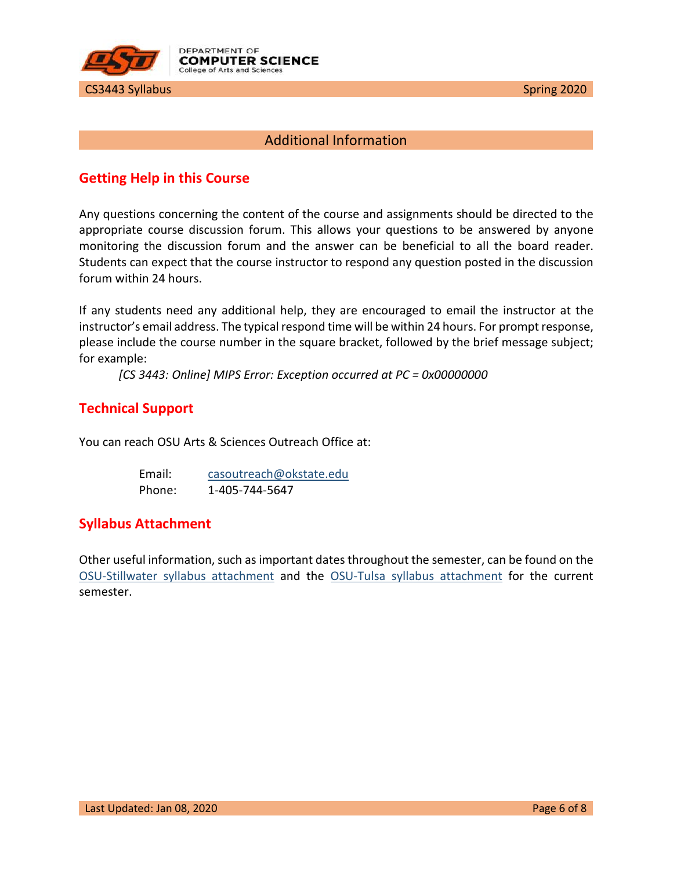

#### Additional Information

#### <span id="page-5-1"></span><span id="page-5-0"></span>**Getting Help in this Course**

Any questions concerning the content of the course and assignments should be directed to the appropriate course discussion forum. This allows your questions to be answered by anyone monitoring the discussion forum and the answer can be beneficial to all the board reader. Students can expect that the course instructor to respond any question posted in the discussion forum within 24 hours.

If any students need any additional help, they are encouraged to email the instructor at the instructor's email address. The typical respond time will be within 24 hours. For prompt response, please include the course number in the square bracket, followed by the brief message subject; for example:

*[CS 3443: Online] MIPS Error: Exception occurred at PC = 0x00000000*

#### <span id="page-5-2"></span>**Technical Support**

You can reach OSU Arts & Sciences Outreach Office at:

| Email: | casoutreach@okstate.edu |
|--------|-------------------------|
| Phone: | 1-405-744-5647          |

#### <span id="page-5-3"></span>**Syllabus Attachment**

Other useful information, such as important dates throughout the semester, can be found on the [OSU-Stillwater syllabus attachment](https://academicaffairs.okstate.edu/sites/default/files/Fall%202018%20Syllabus%20Attachment_0.pdf) and the [OSU-Tulsa syllabus attachment](https://cs.okstate.edu/%7Ebem/Syllabus%20Attachment%20TULSA%20Fall%2018.pdf) for the current semester.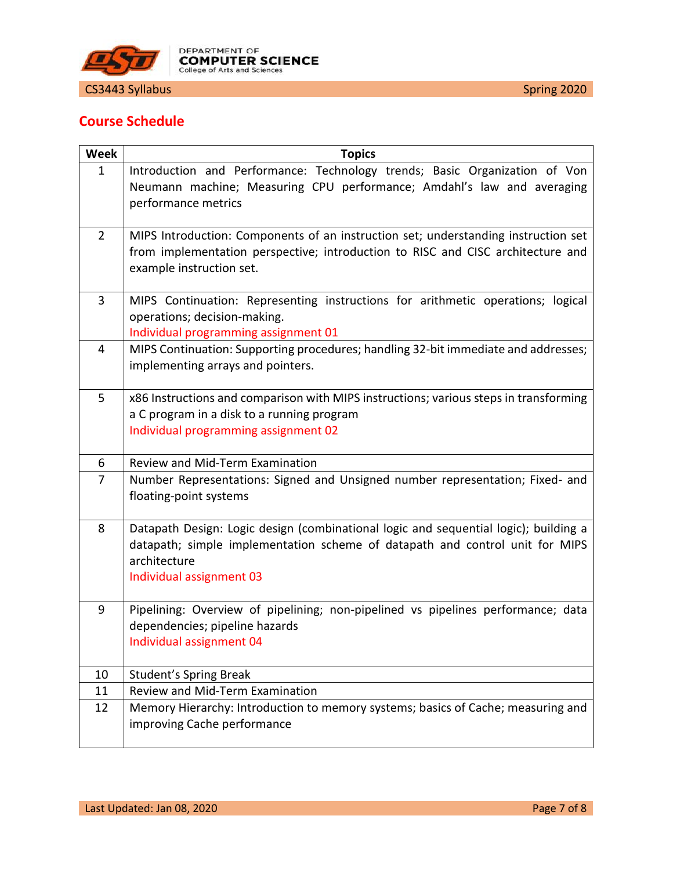

<span id="page-6-0"></span>

| <b>Week</b>    | <b>Topics</b>                                                                                                                                                                                                    |
|----------------|------------------------------------------------------------------------------------------------------------------------------------------------------------------------------------------------------------------|
| $\mathbf{1}$   | Introduction and Performance: Technology trends; Basic Organization of Von<br>Neumann machine; Measuring CPU performance; Amdahl's law and averaging<br>performance metrics                                      |
| $\overline{2}$ | MIPS Introduction: Components of an instruction set; understanding instruction set<br>from implementation perspective; introduction to RISC and CISC architecture and<br>example instruction set.                |
| 3              | MIPS Continuation: Representing instructions for arithmetic operations; logical<br>operations; decision-making.<br>Individual programming assignment 01                                                          |
| $\overline{4}$ | MIPS Continuation: Supporting procedures; handling 32-bit immediate and addresses;<br>implementing arrays and pointers.                                                                                          |
| 5              | x86 Instructions and comparison with MIPS instructions; various steps in transforming<br>a C program in a disk to a running program<br>Individual programming assignment 02                                      |
| 6              | Review and Mid-Term Examination                                                                                                                                                                                  |
| $\overline{7}$ | Number Representations: Signed and Unsigned number representation; Fixed- and<br>floating-point systems                                                                                                          |
| 8              | Datapath Design: Logic design (combinational logic and sequential logic); building a<br>datapath; simple implementation scheme of datapath and control unit for MIPS<br>architecture<br>Individual assignment 03 |
| 9              | Pipelining: Overview of pipelining; non-pipelined vs pipelines performance; data<br>dependencies; pipeline hazards<br>Individual assignment 04                                                                   |
| 10             | <b>Student's Spring Break</b>                                                                                                                                                                                    |
| 11             | Review and Mid-Term Examination                                                                                                                                                                                  |
| 12             | Memory Hierarchy: Introduction to memory systems; basics of Cache; measuring and<br>improving Cache performance                                                                                                  |